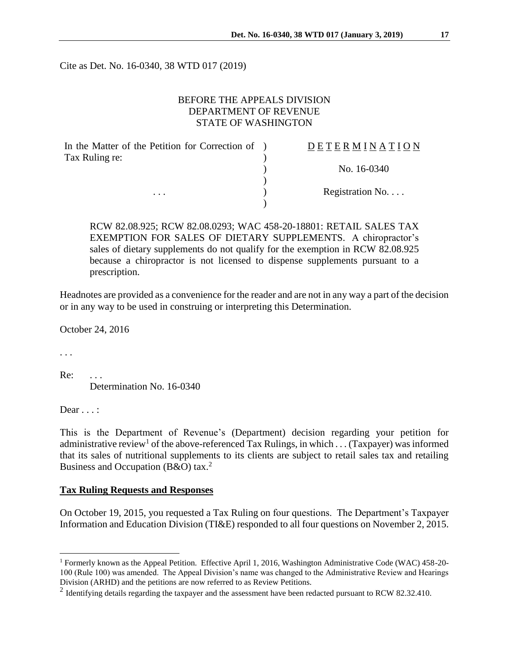Cite as Det. No. 16-0340, 38 WTD 017 (2019)

## BEFORE THE APPEALS DIVISION DEPARTMENT OF REVENUE STATE OF WASHINGTON

| In the Matter of the Petition for Correction of ) | DETERMINATION   |
|---------------------------------------------------|-----------------|
| Tax Ruling re:                                    |                 |
|                                                   | No. 16-0340     |
|                                                   |                 |
| $\cdots$                                          | Registration No |
|                                                   |                 |

RCW 82.08.925; RCW 82.08.0293; WAC 458-20-18801: RETAIL SALES TAX EXEMPTION FOR SALES OF DIETARY SUPPLEMENTS. A chiropractor's sales of dietary supplements do not qualify for the exemption in RCW 82.08.925 because a chiropractor is not licensed to dispense supplements pursuant to a prescription.

Headnotes are provided as a convenience for the reader and are not in any way a part of the decision or in any way to be used in construing or interpreting this Determination.

October 24, 2016

. . .

 $\overline{a}$ 

 $Re:$ Determination No. 16-0340

Dear . . . :

This is the Department of Revenue's (Department) decision regarding your petition for administrative review<sup>1</sup> of the above-referenced Tax Rulings, in which . . . (Taxpayer) was informed that its sales of nutritional supplements to its clients are subject to retail sales tax and retailing Business and Occupation (B&O) tax.<sup>2</sup>

## **Tax Ruling Requests and Responses**

On October 19, 2015, you requested a Tax Ruling on four questions. The Department's Taxpayer Information and Education Division (TI&E) responded to all four questions on November 2, 2015.

<sup>1</sup> Formerly known as the Appeal Petition. Effective April 1, 2016, Washington Administrative Code (WAC) 458-20- 100 (Rule 100) was amended. The Appeal Division's name was changed to the Administrative Review and Hearings Division (ARHD) and the petitions are now referred to as Review Petitions.

<sup>&</sup>lt;sup>2</sup> Identifying details regarding the taxpayer and the assessment have been redacted pursuant to RCW 82.32.410.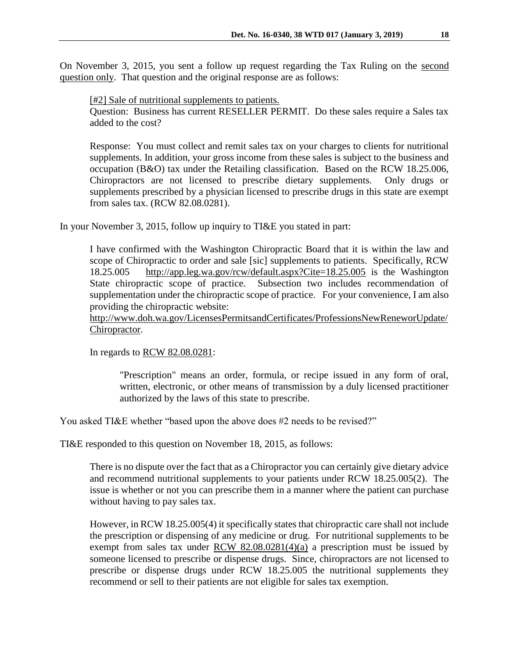On November 3, 2015, you sent a follow up request regarding the Tax Ruling on the second question only. That question and the original response are as follows:

[#2] Sale of nutritional supplements to patients. Question: Business has current RESELLER PERMIT. Do these sales require a Sales tax added to the cost?

Response: You must collect and remit sales tax on your charges to clients for nutritional supplements. In addition, your gross income from these sales is subject to the business and occupation (B&O) tax under the Retailing classification. Based on the RCW 18.25.006, Chiropractors are not licensed to prescribe dietary supplements. Only drugs or supplements prescribed by a physician licensed to prescribe drugs in this state are exempt from sales tax. (RCW 82.08.0281).

In your November 3, 2015, follow up inquiry to TI&E you stated in part:

I have confirmed with the Washington Chiropractic Board that it is within the law and scope of Chiropractic to order and sale [sic] supplements to patients. Specifically, RCW 18.25.005 <http://app.leg.wa.gov/rcw/default.aspx?Cite=18.25.005> is the Washington State chiropractic scope of practice. Subsection two includes recommendation of supplementation under the chiropractic scope of practice. For your convenience, I am also providing the chiropractic website:

[http://www.doh.wa.gov/LicensesPermitsandCertificates/ProfessionsNewReneworUpdate/](http://www.doh.wa.gov/LicensesPermitsandCertificates/ProfessionsNewReneworUpdate/Chiropractor) [Chiropractor.](http://www.doh.wa.gov/LicensesPermitsandCertificates/ProfessionsNewReneworUpdate/Chiropractor)

In regards to [RCW 82.08.0281:](http://apps.leg.wa.gov/rcw/default.aspx?cite=82.08.0281)

"Prescription" means an order, formula, or recipe issued in any form of oral, written, electronic, or other means of transmission by a duly licensed practitioner authorized by the laws of this state to prescribe.

You asked TI&E whether "based upon the above does #2 needs to be revised?"

TI&E responded to this question on November 18, 2015, as follows:

There is no dispute over the fact that as a Chiropractor you can certainly give dietary advice and recommend nutritional supplements to your patients under RCW 18.25.005(2). The issue is whether or not you can prescribe them in a manner where the patient can purchase without having to pay sales tax.

However, in RCW 18.25.005(4) it specifically states that chiropractic care shall not include the prescription or dispensing of any medicine or drug. For nutritional supplements to be exempt from sales tax under  $RCW$  82.08.0281(4)(a) a prescription must be issued by someone licensed to prescribe or dispense drugs. Since, chiropractors are not licensed to prescribe or dispense drugs under RCW 18.25.005 the nutritional supplements they recommend or sell to their patients are not eligible for sales tax exemption.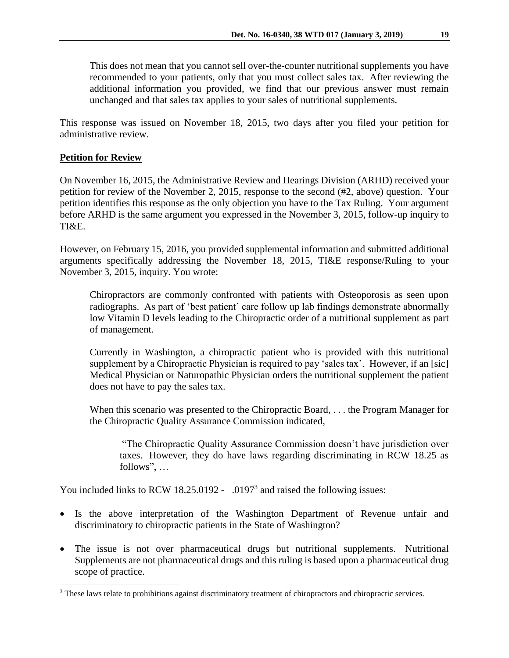This does not mean that you cannot sell over-the-counter nutritional supplements you have recommended to your patients, only that you must collect sales tax. After reviewing the additional information you provided, we find that our previous answer must remain unchanged and that sales tax applies to your sales of nutritional supplements.

This response was issued on November 18, 2015, two days after you filed your petition for administrative review.

## **Petition for Review**

 $\overline{a}$ 

On November 16, 2015, the Administrative Review and Hearings Division (ARHD) received your petition for review of the November 2, 2015, response to the second (#2, above) question. Your petition identifies this response as the only objection you have to the Tax Ruling. Your argument before ARHD is the same argument you expressed in the November 3, 2015, follow-up inquiry to TI&E.

However, on February 15, 2016, you provided supplemental information and submitted additional arguments specifically addressing the November 18, 2015, TI&E response/Ruling to your November 3, 2015, inquiry. You wrote:

Chiropractors are commonly confronted with patients with Osteoporosis as seen upon radiographs. As part of 'best patient' care follow up lab findings demonstrate abnormally low Vitamin D levels leading to the Chiropractic order of a nutritional supplement as part of management.

Currently in Washington, a chiropractic patient who is provided with this nutritional supplement by a Chiropractic Physician is required to pay 'sales tax'. However, if an [sic] Medical Physician or Naturopathic Physician orders the nutritional supplement the patient does not have to pay the sales tax.

When this scenario was presented to the Chiropractic Board, . . . the Program Manager for the Chiropractic Quality Assurance Commission indicated,

"The Chiropractic Quality Assurance Commission doesn't have jurisdiction over taxes. However, they do have laws regarding discriminating in RCW 18.25 as follows", …

You included links to RCW 18.25.0192 - .0197<sup>3</sup> and raised the following issues:

- Is the above interpretation of the Washington Department of Revenue unfair and discriminatory to chiropractic patients in the State of Washington?
- The issue is not over pharmaceutical drugs but nutritional supplements. Nutritional Supplements are not pharmaceutical drugs and this ruling is based upon a pharmaceutical drug scope of practice.

<sup>&</sup>lt;sup>3</sup> These laws relate to prohibitions against discriminatory treatment of chiropractors and chiropractic services.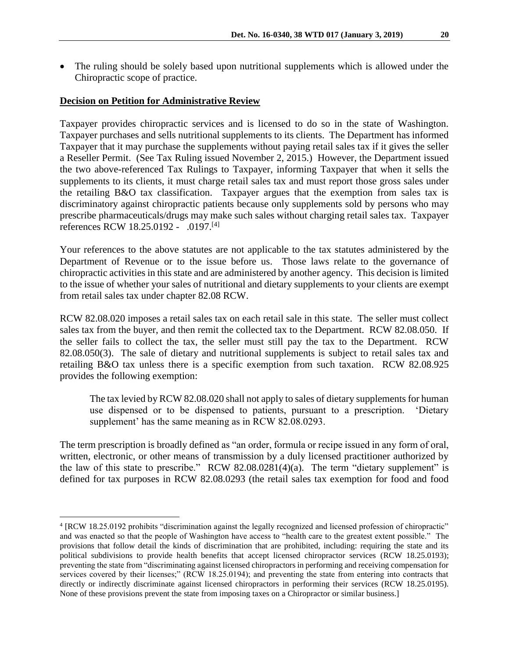• The ruling should be solely based upon nutritional supplements which is allowed under the Chiropractic scope of practice.

## **Decision on Petition for Administrative Review**

 $\overline{a}$ 

Taxpayer provides chiropractic services and is licensed to do so in the state of Washington. Taxpayer purchases and sells nutritional supplements to its clients. The Department has informed Taxpayer that it may purchase the supplements without paying retail sales tax if it gives the seller a Reseller Permit. (See Tax Ruling issued November 2, 2015.) However, the Department issued the two above-referenced Tax Rulings to Taxpayer, informing Taxpayer that when it sells the supplements to its clients, it must charge retail sales tax and must report those gross sales under the retailing B&O tax classification. Taxpayer argues that the exemption from sales tax is discriminatory against chiropractic patients because only supplements sold by persons who may prescribe pharmaceuticals/drugs may make such sales without charging retail sales tax. Taxpayer references RCW 18.25.0192 - .0197.<sup>[4]</sup>

Your references to the above statutes are not applicable to the tax statutes administered by the Department of Revenue or to the issue before us. Those laws relate to the governance of chiropractic activities in this state and are administered by another agency. This decision is limited to the issue of whether your sales of nutritional and dietary supplements to your clients are exempt from retail sales tax under chapter 82.08 RCW.

RCW 82.08.020 imposes a retail sales tax on each retail sale in this state. The seller must collect sales tax from the buyer, and then remit the collected tax to the Department. RCW 82.08.050. If the seller fails to collect the tax, the seller must still pay the tax to the Department. RCW 82.08.050(3). The sale of dietary and nutritional supplements is subject to retail sales tax and retailing B&O tax unless there is a specific exemption from such taxation. RCW 82.08.925 provides the following exemption:

The tax levied by RCW 82.08.020 shall not apply to sales of dietary supplements for human use dispensed or to be dispensed to patients, pursuant to a prescription. 'Dietary supplement' has the same meaning as in RCW 82.08.0293.

The term prescription is broadly defined as "an order, formula or recipe issued in any form of oral, written, electronic, or other means of transmission by a duly licensed practitioner authorized by the law of this state to prescribe." RCW  $82.08.0281(4)(a)$ . The term "dietary supplement" is defined for tax purposes in RCW 82.08.0293 (the retail sales tax exemption for food and food

<sup>4</sup> [RCW 18.25.0192 prohibits "discrimination against the legally recognized and licensed profession of chiropractic" and was enacted so that the people of Washington have access to "health care to the greatest extent possible." The provisions that follow detail the kinds of discrimination that are prohibited, including: requiring the state and its political subdivisions to provide health benefits that accept licensed chiropractor services (RCW 18.25.0193); preventing the state from "discriminating against licensed chiropractors in performing and receiving compensation for services covered by their licenses;" (RCW 18.25.0194); and preventing the state from entering into contracts that directly or indirectly discriminate against licensed chiropractors in performing their services (RCW 18.25.0195). None of these provisions prevent the state from imposing taxes on a Chiropractor or similar business.]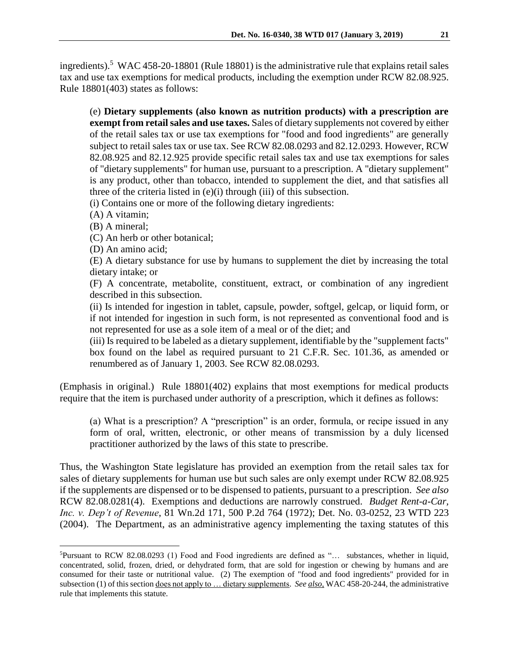ingredients).<sup>5</sup> WAC 458-20-18801 (Rule 18801) is the administrative rule that explains retail sales tax and use tax exemptions for medical products, including the exemption under RCW 82.08.925. Rule 18801(403) states as follows:

(e) **Dietary supplements (also known as nutrition products) with a prescription are exempt from retail sales and use taxes.** Sales of dietary supplements not covered by either of the retail sales tax or use tax exemptions for "food and food ingredients" are generally subject to retail sales tax or use tax. See RCW 82.08.0293 and 82.12.0293. However, RCW 82.08.925 and 82.12.925 provide specific retail sales tax and use tax exemptions for sales of "dietary supplements" for human use, pursuant to a prescription. A "dietary supplement" is any product, other than tobacco, intended to supplement the diet, and that satisfies all three of the criteria listed in (e)(i) through (iii) of this subsection.

(i) Contains one or more of the following dietary ingredients:

(A) A vitamin;

(B) A mineral;

 $\overline{a}$ 

(C) An herb or other botanical;

(D) An amino acid;

(E) A dietary substance for use by humans to supplement the diet by increasing the total dietary intake; or

(F) A concentrate, metabolite, constituent, extract, or combination of any ingredient described in this subsection.

(ii) Is intended for ingestion in tablet, capsule, powder, softgel, gelcap, or liquid form, or if not intended for ingestion in such form, is not represented as conventional food and is not represented for use as a sole item of a meal or of the diet; and

(iii) Is required to be labeled as a dietary supplement, identifiable by the "supplement facts" box found on the label as required pursuant to 21 C.F.R. Sec. 101.36, as amended or renumbered as of January 1, 2003. See RCW [82.08.0293.](http://app.leg.wa.gov/RCW/default.aspx?cite=82.08.0293)

(Emphasis in original.) Rule 18801(402) explains that most exemptions for medical products require that the item is purchased under authority of a prescription, which it defines as follows:

(a) What is a prescription? A "prescription" is an order, formula, or recipe issued in any form of oral, written, electronic, or other means of transmission by a duly licensed practitioner authorized by the laws of this state to prescribe.

Thus, the Washington State legislature has provided an exemption from the retail sales tax for sales of dietary supplements for human use but such sales are only exempt under RCW 82.08.925 if the supplements are dispensed or to be dispensed to patients, pursuant to a prescription. *See also*  RCW 82.08.0281(4). Exemptions and deductions are narrowly construed. *Budget Rent-a-Car, Inc. v. Dep't of Revenue*, 81 Wn.2d 171, 500 P.2d 764 (1972); Det. No. 03-0252, 23 WTD 223 (2004). The Department, as an administrative agency implementing the taxing statutes of this

<sup>5</sup>Pursuant to RCW 82.08.0293 (1) Food and Food ingredients are defined as "… substances, whether in liquid, concentrated, solid, frozen, dried, or dehydrated form, that are sold for ingestion or chewing by humans and are consumed for their taste or nutritional value. (2) The exemption of "food and food ingredients" provided for in subsection (1) of this section does not apply to … dietary supplements. *See also,* WAC 458-20-244, the administrative rule that implements this statute.